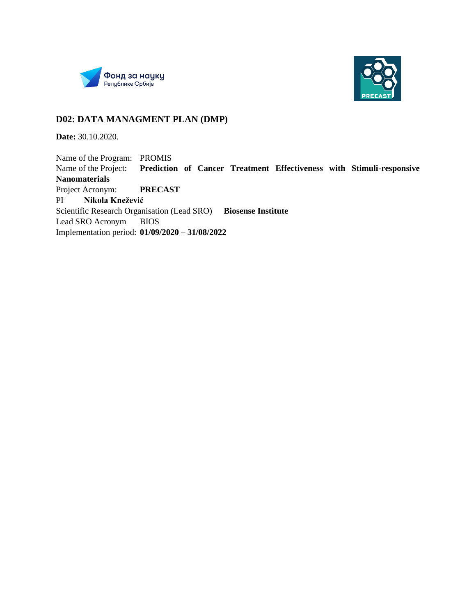



#### **D02: DATA MANAGMENT PLAN (DMP)**

**Date:** 30.10.2020.

Name of the Program: PROMIS Name of the Project: **Prediction of Cancer Treatment Effectiveness with Stimuli-responsive Nanomaterials** Project Acronym: **PRECAST** PI **Nikola Knežević** Scientific Research Organisation (Lead SRO) **Biosense Institute** Lead SRO Acronym BIOS Implementation period: **01/09/2020 – 31/08/2022**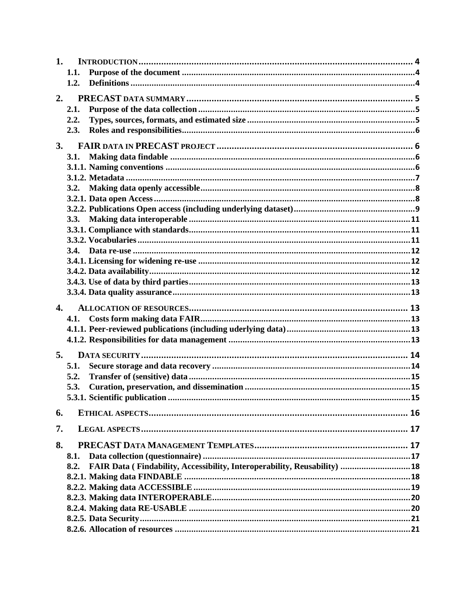| 1.           |                                                                                   |  |
|--------------|-----------------------------------------------------------------------------------|--|
|              | 1.1.                                                                              |  |
|              | 1.2.                                                                              |  |
| 2.           |                                                                                   |  |
|              | 2.1.                                                                              |  |
|              |                                                                                   |  |
|              | 2.2.                                                                              |  |
|              | 2.3.                                                                              |  |
| 3.           |                                                                                   |  |
|              | 3.1.                                                                              |  |
|              |                                                                                   |  |
|              |                                                                                   |  |
|              | 3.2.                                                                              |  |
|              |                                                                                   |  |
|              |                                                                                   |  |
|              | 3.3.                                                                              |  |
|              |                                                                                   |  |
|              |                                                                                   |  |
|              |                                                                                   |  |
|              |                                                                                   |  |
|              |                                                                                   |  |
|              |                                                                                   |  |
|              |                                                                                   |  |
|              |                                                                                   |  |
| $\mathbf{4}$ |                                                                                   |  |
|              | 4.1.                                                                              |  |
|              |                                                                                   |  |
|              |                                                                                   |  |
| 5.           |                                                                                   |  |
|              | 5.1.                                                                              |  |
|              | 5.2.                                                                              |  |
|              | 5.3.                                                                              |  |
|              |                                                                                   |  |
|              |                                                                                   |  |
| 6.           |                                                                                   |  |
|              |                                                                                   |  |
| 7.           |                                                                                   |  |
| 8.           |                                                                                   |  |
|              | 8.1.                                                                              |  |
|              | FAIR Data (Findability, Accessibility, Interoperability, Reusability)  18<br>8.2. |  |
|              |                                                                                   |  |
|              |                                                                                   |  |
|              |                                                                                   |  |
|              |                                                                                   |  |
|              |                                                                                   |  |
|              |                                                                                   |  |
|              |                                                                                   |  |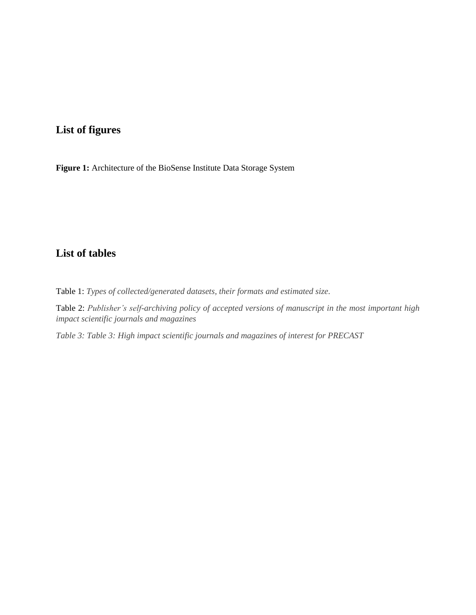## **List of figures**

**[Figure 1:](file:///C:/Users/nikol/Downloads/NANOFACTS%20DMP%20Deliverable%20%201.5%20(1).docx%23_heading=h.gjdgxs)** [Architecture of the BioSense Institute Data Storage System](file:///C:/Users/nikol/Downloads/NANOFACTS%20DMP%20Deliverable%20%201.5%20(1).docx%23_heading=h.gjdgxs)

## **List of tables**

Table 1: *[Types of collected/generated datasets, their formats and estimated size.](file:///C:/Users/nikol/Downloads/NANOFACTS%20DMP%20Deliverable%20%201.5%20(1).docx%23_heading=h.30j0zll)*

Table 2: *Publisher's self-archiving policy of accepted versions of manuscript in the most important high impact scientific journals and magazines*

*Table 3: Table 3: High impact scientific journals and magazines of interest for PRECAST*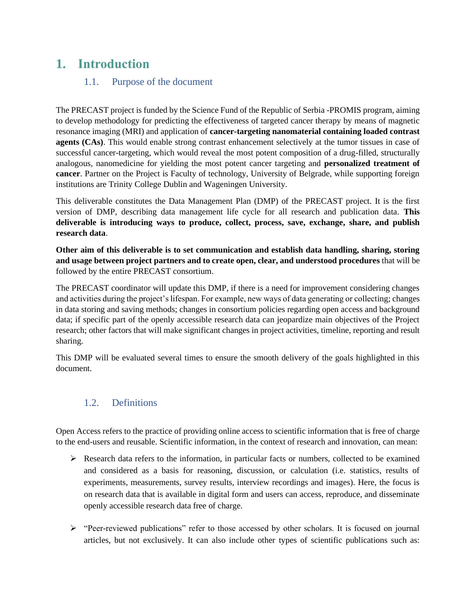## <span id="page-3-1"></span><span id="page-3-0"></span>**1. Introduction**

#### 1.1. Purpose of the document

The PRECAST project is funded by the Science Fund of the Republic of Serbia -PROMIS program, aiming to develop methodology for predicting the effectiveness of targeted cancer therapy by means of magnetic resonance imaging (MRI) and application of **cancer-targeting nanomaterial containing loaded contrast agents (CAs)**. This would enable strong contrast enhancement selectively at the tumor tissues in case of successful cancer-targeting, which would reveal the most potent composition of a drug-filled, structurally analogous, nanomedicine for yielding the most potent cancer targeting and **personalized treatment of cancer**. Partner on the Project is Faculty of technology, University of Belgrade, while supporting foreign institutions are Trinity College Dublin and Wageningen University.

This deliverable constitutes the Data Management Plan (DMP) of the PRECAST project. It is the first version of DMP, describing data management life cycle for all research and publication data. **This deliverable is introducing ways to produce, collect, process, save, exchange, share, and publish research data**.

**Other aim of this deliverable is to set communication and establish data handling, sharing, storing and usage between project partners and to create open, clear, and understood procedures** that will be followed by the entire PRECAST consortium.

The PRECAST coordinator will update this DMP, if there is a need for improvement considering changes and activities during the project's lifespan. For example, new ways of data generating or collecting; changes in data storing and saving methods; changes in consortium policies regarding open access and background data; if specific part of the openly accessible research data can jeopardize main objectives of the Project research; other factors that will make significant changes in project activities, timeline, reporting and result sharing.

This DMP will be evaluated several times to ensure the smooth delivery of the goals highlighted in this document.

### <span id="page-3-2"></span>1.2. Definitions

Open Access refers to the practice of providing online access to scientific information that is free of charge to the end-users and reusable. Scientific information, in the context of research and innovation, can mean:

- $\triangleright$  Research data refers to the information, in particular facts or numbers, collected to be examined and considered as a basis for reasoning, discussion, or calculation (i.e. statistics, results of experiments, measurements, survey results, interview recordings and images). Here, the focus is on research data that is available in digital form and users can access, reproduce, and disseminate openly accessible research data free of charge.
- ➢ "Peer-reviewed publications" refer to those accessed by other scholars. It is focused on journal articles, but not exclusively. It can also include other types of scientific publications such as: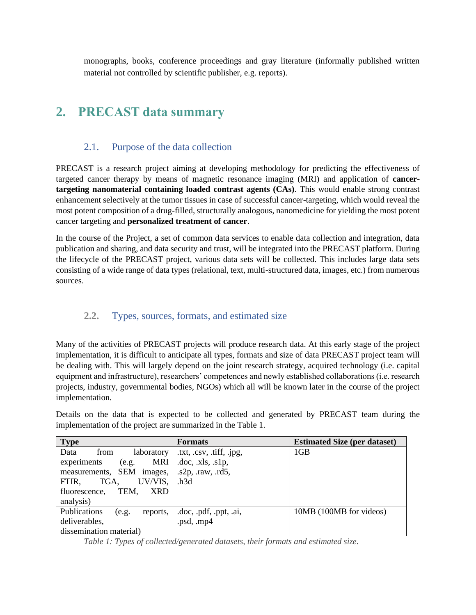monographs, books, conference proceedings and gray literature (informally published written material not controlled by scientific publisher, e.g. reports).

## <span id="page-4-0"></span>**2. PRECAST data summary**

#### 2.1. Purpose of the data collection

<span id="page-4-1"></span>PRECAST is a research project aiming at developing methodology for predicting the effectiveness of targeted cancer therapy by means of magnetic resonance imaging (MRI) and application of **cancertargeting nanomaterial containing loaded contrast agents (CAs)**. This would enable strong contrast enhancement selectively at the tumor tissues in case of successful cancer-targeting, which would reveal the most potent composition of a drug-filled, structurally analogous, nanomedicine for yielding the most potent cancer targeting and **personalized treatment of cancer**.

In the course of the Project, a set of common data services to enable data collection and integration, data publication and sharing, and data security and trust, will be integrated into the PRECAST platform. During the lifecycle of the PRECAST project, various data sets will be collected. This includes large data sets consisting of a wide range of data types (relational, text, multi-structured data, images, etc.) from numerous sources.

### **2.2.** Types, sources, formats, and estimated size

<span id="page-4-2"></span>Many of the activities of PRECAST projects will produce research data. At this early stage of the project implementation, it is difficult to anticipate all types, formats and size of data PRECAST project team will be dealing with. This will largely depend on the joint research strategy, acquired technology (i.e. capital equipment and infrastructure), researchers' competences and newly established collaborations (i.e. research projects, industry, governmental bodies, NGOs) which all will be known later in the course of the project implementation.

Details on the data that is expected to be collected and generated by PRECAST team during the implementation of the project are summarized in the Table 1.

| <b>Type</b>                       | <b>Formats</b>                          | <b>Estimated Size (per dataset)</b> |
|-----------------------------------|-----------------------------------------|-------------------------------------|
| Data<br>laboratory<br>from        | .txt, $.csv, \text{.iff}, \text{.ipg},$ | 1GB                                 |
| MRI<br>experiments<br>(e.g.       | doc, xls, slp,                          |                                     |
| measurements, SEM images,         | $s2p$ , raw, rd5,                       |                                     |
| UV/VIS,<br>TGA,<br>FTIR.          | .h3d                                    |                                     |
| TEM.<br>XRD<br>fluorescence,      |                                         |                                     |
| analysis)                         |                                         |                                     |
| Publications<br>reports,<br>(e.g. | .doc, .pdf, .ppt, .ai,                  | 10MB (100MB for videos)             |
| deliverables,                     | .psd, .mp4                              |                                     |
| dissemination material)           |                                         |                                     |

*Table 1: Types of collected/generated datasets, their formats and estimated size.*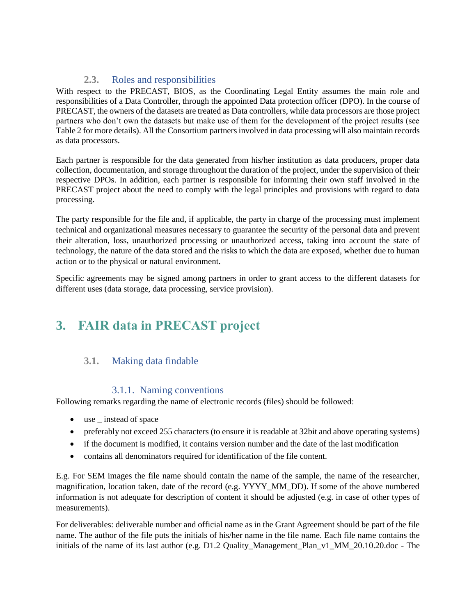## **2.3.** Roles and responsibilities

<span id="page-5-0"></span>With respect to the PRECAST, BIOS, as the Coordinating Legal Entity assumes the main role and responsibilities of a Data Controller, through the appointed Data protection officer (DPO). In the course of PRECAST, the owners of the datasets are treated as Data controllers, while data processors are those project partners who don't own the datasets but make use of them for the development of the project results (see Table 2 for more details). All the Consortium partners involved in data processing will also maintain records as data processors.

Each partner is responsible for the data generated from his/her institution as data producers, proper data collection, documentation, and storage throughout the duration of the project, under the supervision of their respective DPOs. In addition, each partner is responsible for informing their own staff involved in the PRECAST project about the need to comply with the legal principles and provisions with regard to data processing.

The party responsible for the file and, if applicable, the party in charge of the processing must implement technical and organizational measures necessary to guarantee the security of the personal data and prevent their alteration, loss, unauthorized processing or unauthorized access, taking into account the state of technology, the nature of the data stored and the risks to which the data are exposed, whether due to human action or to the physical or natural environment.

Specific agreements may be signed among partners in order to grant access to the different datasets for different uses (data storage, data processing, service provision).

# <span id="page-5-1"></span>**3. FAIR data in PRECAST project**

### <span id="page-5-2"></span>**3.1.** Making data findable

#### 3.1.1. Naming conventions

<span id="page-5-3"></span>Following remarks regarding the name of electronic records (files) should be followed:

- use \_ instead of space
- preferably not exceed 255 characters (to ensure it is readable at 32bit and above operating systems)
- if the document is modified, it contains version number and the date of the last modification
- contains all denominators required for identification of the file content.

E.g. For SEM images the file name should contain the name of the sample, the name of the researcher, magnification, location taken, date of the record (e.g. YYYY\_MM\_DD). If some of the above numbered information is not adequate for description of content it should be adjusted (e.g. in case of other types of measurements).

For deliverables: deliverable number and official name as in the Grant Agreement should be part of the file name. The author of the file puts the initials of his/her name in the file name. Each file name contains the initials of the name of its last author (e.g. D1.2 Quality\_Management\_Plan\_v1\_MM\_20.10.20.doc - The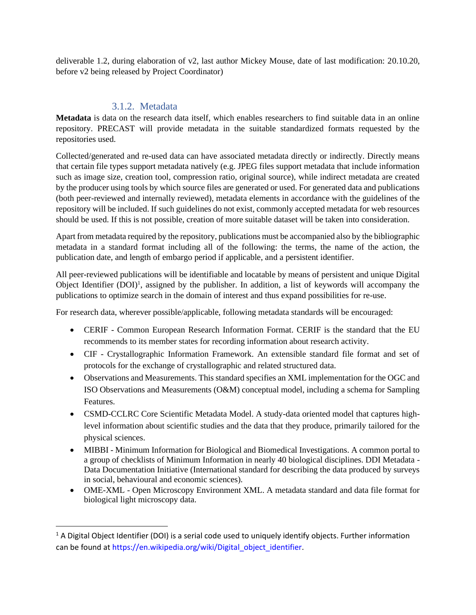deliverable 1.2, during elaboration of v2, last author Mickey Mouse, date of last modification: 20.10.20, before v2 being released by Project Coordinator)

#### 3.1.2. Metadata

<span id="page-6-0"></span>**Metadata** is data on the research data itself, which enables researchers to find suitable data in an online repository. PRECAST will provide metadata in the suitable standardized formats requested by the repositories used.

Collected/generated and re-used data can have associated metadata directly or indirectly. Directly means that certain file types support metadata natively (e.g. JPEG files support metadata that include information such as image size, creation tool, compression ratio, original source), while indirect metadata are created by the producer using tools by which source files are generated or used. For generated data and publications (both peer-reviewed and internally reviewed), metadata elements in accordance with the guidelines of the repository will be included. If such guidelines do not exist, commonly accepted metadata for web resources should be used. If this is not possible, creation of more suitable dataset will be taken into consideration.

Apart from metadata required by the repository, publications must be accompanied also by the bibliographic metadata in a standard format including all of the following: the terms, the name of the action, the publication date, and length of embargo period if applicable, and a persistent identifier.

All peer-reviewed publications will be identifiable and locatable by means of persistent and unique Digital Object Identifier  $(DOI)^1$ , assigned by the publisher. In addition, a list of keywords will accompany the publications to optimize search in the domain of interest and thus expand possibilities for re-use.

For research data, wherever possible/applicable, following metadata standards will be encouraged:

- CERIF Common European Research Information Format. CERIF is the standard that the EU recommends to its member states for recording information about research activity.
- CIF Crystallographic Information Framework. An extensible standard file format and set of protocols for the exchange of crystallographic and related structured data.
- Observations and Measurements. This standard specifies an XML implementation for the OGC and ISO Observations and Measurements (O&M) conceptual model, including a schema for Sampling Features.
- CSMD-CCLRC Core Scientific Metadata Model. A study-data oriented model that captures highlevel information about scientific studies and the data that they produce, primarily tailored for the physical sciences.
- MIBBI Minimum Information for Biological and Biomedical Investigations. A common portal to a group of checklists of Minimum Information in nearly 40 biological disciplines. DDI Metadata - Data Documentation Initiative (International standard for describing the data produced by surveys in social, behavioural and economic sciences).
- OME-XML Open Microscopy Environment XML. A metadata standard and data file format for biological light microscopy data.

 $1$  A Digital Object Identifier (DOI) is a serial code used to uniquely identify objects. Further information can be found at https://en.wikipedia.org/wiki/Digital\_object\_identifier.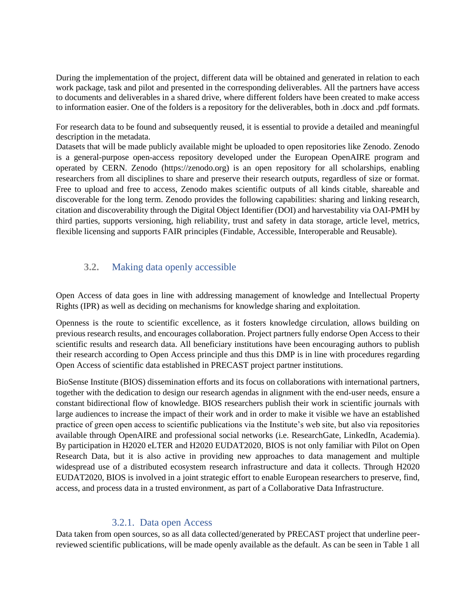During the implementation of the project, different data will be obtained and generated in relation to each work package, task and pilot and presented in the corresponding deliverables. All the partners have access to documents and deliverables in a shared drive, where different folders have been created to make access to information easier. One of the folders is a repository for the deliverables, both in .docx and .pdf formats.

For research data to be found and subsequently reused, it is essential to provide a detailed and meaningful description in the metadata.

Datasets that will be made publicly available might be uploaded to open repositories like Zenodo. Zenodo is a general-purpose open-access repository developed under the European OpenAIRE program and operated by CERN. Zenodo (https://zenodo.org) is an open repository for all scholarships, enabling researchers from all disciplines to share and preserve their research outputs, regardless of size or format. Free to upload and free to access, Zenodo makes scientific outputs of all kinds citable, shareable and discoverable for the long term. Zenodo provides the following capabilities: sharing and linking research, citation and discoverability through the Digital Object Identifier (DOI) and harvestability via OAI-PMH by third parties, supports versioning, high reliability, trust and safety in data storage, article level, metrics, flexible licensing and supports FAIR principles (Findable, Accessible, Interoperable and Reusable).

#### <span id="page-7-0"></span>**3.2.** Making data openly accessible

Open Access of data goes in line with addressing management of knowledge and Intellectual Property Rights (IPR) as well as deciding on mechanisms for knowledge sharing and exploitation.

Openness is the route to scientific excellence, as it fosters knowledge circulation, allows building on previous research results, and encourages collaboration. Project partners fully endorse Open Access to their scientific results and research data. All beneficiary institutions have been encouraging authors to publish their research according to Open Access principle and thus this DMP is in line with procedures regarding Open Access of scientific data established in PRECAST project partner institutions.

BioSense Institute (BIOS) dissemination efforts and its focus on collaborations with international partners, together with the dedication to design our research agendas in alignment with the end-user needs, ensure a constant bidirectional flow of knowledge. BIOS researchers publish their work in scientific journals with large audiences to increase the impact of their work and in order to make it visible we have an established practice of green open access to scientific publications via the Institute's web site, but also via repositories available through OpenAIRE and professional social networks (i.e. ResearchGate, LinkedIn, Academia). By participation in H2020 eLTER and H2020 EUDAT2020, BIOS is not only familiar with Pilot on Open Research Data, but it is also active in providing new approaches to data management and multiple widespread use of a distributed ecosystem research infrastructure and data it collects. Through H2020 EUDAT2020, BIOS is involved in a joint strategic effort to enable European researchers to preserve, find, access, and process data in a trusted environment, as part of a Collaborative Data Infrastructure.

#### 3.2.1. Data open Access

<span id="page-7-1"></span>Data taken from open sources, so as all data collected/generated by PRECAST project that underline peerreviewed scientific publications, will be made openly available as the default. As can be seen in Table 1 all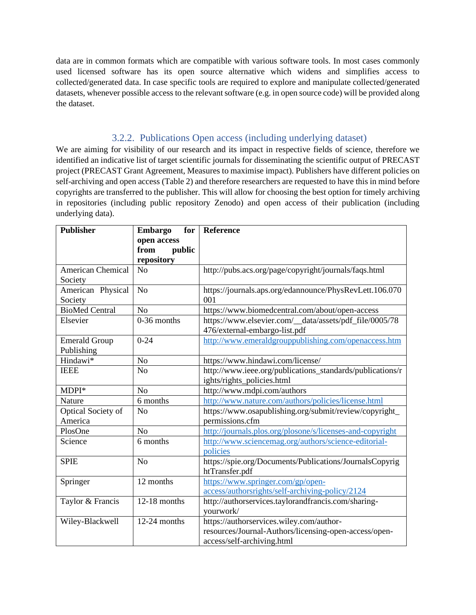data are in common formats which are compatible with various software tools. In most cases commonly used licensed software has its open source alternative which widens and simplifies access to collected/generated data. In case specific tools are required to explore and manipulate collected/generated datasets, whenever possible access to the relevant software (e.g. in open source code) will be provided along the dataset.

#### 3.2.2. Publications Open access (including underlying dataset)

<span id="page-8-0"></span>We are aiming for visibility of our research and its impact in respective fields of science, therefore we identified an indicative list of target scientific journals for disseminating the scientific output of PRECAST project (PRECAST Grant Agreement, Measures to maximise impact). Publishers have different policies on self-archiving and open access (Table 2) and therefore researchers are requested to have this in mind before copyrights are transferred to the publisher. This will allow for choosing the best option for timely archiving in repositories (including public repository Zenodo) and open access of their publication (including underlying data).

| <b>Publisher</b>         | <b>Embargo</b><br>for         | <b>Reference</b>                                          |
|--------------------------|-------------------------------|-----------------------------------------------------------|
|                          | open access<br>from<br>public |                                                           |
|                          | repository                    |                                                           |
| <b>American Chemical</b> | N <sub>o</sub>                | http://pubs.acs.org/page/copyright/journals/faqs.html     |
| Society                  |                               |                                                           |
| American Physical        | N <sub>o</sub>                | https://journals.aps.org/edannounce/PhysRevLett.106.070   |
| Society                  |                               | 001                                                       |
| <b>BioMed Central</b>    | N <sub>o</sub>                | https://www.biomedcentral.com/about/open-access           |
| Elsevier                 | 0-36 months                   | https://www.elsevier.com/_data/assets/pdf_file/0005/78    |
|                          |                               | 476/external-embargo-list.pdf                             |
| <b>Emerald Group</b>     | $0 - 24$                      | http://www.emeraldgrouppublishing.com/openaccess.htm      |
| Publishing               |                               |                                                           |
| Hindawi*                 | N <sub>o</sub>                | https://www.hindawi.com/license/                          |
| <b>IEEE</b>              | N <sub>o</sub>                | http://www.ieee.org/publications_standards/publications/r |
|                          |                               | ights/rights_policies.html                                |
| MDPI*                    | N <sub>o</sub>                | http://www.mdpi.com/authors                               |
| Nature                   | 6 months                      | http://www.nature.com/authors/policies/license.html       |
| Optical Society of       | N <sub>o</sub>                | https://www.osapublishing.org/submit/review/copyright_    |
| America                  |                               | permissions.cfm                                           |
| PlosOne                  | N <sub>o</sub>                | http://journals.plos.org/plosone/s/licenses-and-copyright |
| Science                  | 6 months                      | http://www.sciencemag.org/authors/science-editorial-      |
|                          |                               | policies                                                  |
| <b>SPIE</b>              | N <sub>o</sub>                | https://spie.org/Documents/Publications/JournalsCopyrig   |
|                          |                               | htTransfer.pdf                                            |
| Springer                 | 12 months                     | https://www.springer.com/gp/open-                         |
|                          |                               | access/authorsrights/self-archiving-policy/2124           |
| Taylor & Francis         | 12-18 months                  | http://authorservices.taylorandfrancis.com/sharing-       |
|                          |                               | yourwork/                                                 |
| Wiley-Blackwell          | 12-24 months                  | https://authorservices.wiley.com/author-                  |
|                          |                               | resources/Journal-Authors/licensing-open-access/open-     |
|                          |                               | access/self-archiving.html                                |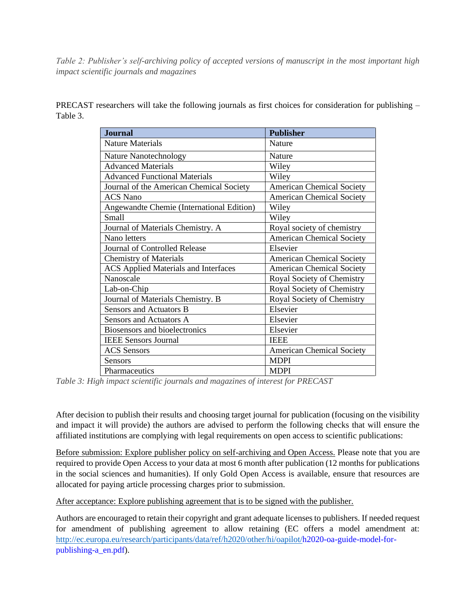*Table 2: Publisher's self-archiving policy of accepted versions of manuscript in the most important high impact scientific journals and magazines*

PRECAST researchers will take the following journals as first choices for consideration for publishing – Table 3.

| <b>Journal</b>                              | <b>Publisher</b>                 |
|---------------------------------------------|----------------------------------|
| <b>Nature Materials</b>                     | <b>Nature</b>                    |
| Nature Nanotechnology                       | <b>Nature</b>                    |
| <b>Advanced Materials</b>                   | Wiley                            |
| <b>Advanced Functional Materials</b>        | Wiley                            |
| Journal of the American Chemical Society    | <b>American Chemical Society</b> |
| <b>ACS</b> Nano                             | <b>American Chemical Society</b> |
| Angewandte Chemie (International Edition)   | Wiley                            |
| <b>Small</b>                                | Wiley                            |
| Journal of Materials Chemistry. A           | Royal society of chemistry       |
| Nano letters                                | <b>American Chemical Society</b> |
| Journal of Controlled Release               | Elsevier                         |
| <b>Chemistry of Materials</b>               | <b>American Chemical Society</b> |
| <b>ACS Applied Materials and Interfaces</b> | <b>American Chemical Society</b> |
| Nanoscale                                   | Royal Society of Chemistry       |
| Lab-on-Chip                                 | Royal Society of Chemistry       |
| Journal of Materials Chemistry. B           | Royal Society of Chemistry       |
| Sensors and Actuators B                     | Elsevier                         |
| Sensors and Actuators A                     | Elsevier                         |
| <b>Biosensors and bioelectronics</b>        | Elsevier                         |
| <b>IEEE Sensors Journal</b>                 | <b>IEEE</b>                      |
| <b>ACS</b> Sensors                          | <b>American Chemical Society</b> |
| Sensors                                     | <b>MDPI</b>                      |
| Pharmaceutics                               | <b>MDPI</b>                      |

*Table 3: High impact scientific journals and magazines of interest for PRECAST*

After decision to publish their results and choosing target journal for publication (focusing on the visibility and impact it will provide) the authors are advised to perform the following checks that will ensure the affiliated institutions are complying with legal requirements on open access to scientific publications:

Before submission: Explore publisher policy on self-archiving and Open Access. Please note that you are required to provide Open Access to your data at most 6 month after publication (12 months for publications in the social sciences and humanities). If only Gold Open Access is available, ensure that resources are allocated for paying article processing charges prior to submission.

After acceptance: Explore publishing agreement that is to be signed with the publisher.

Authors are encouraged to retain their copyright and grant adequate licenses to publishers. If needed request for amendment of publishing agreement to allow retaining (EC offers a model amendment at: [http://ec.europa.eu/research/participants/data/ref/h2020/other/hi/oapilot/h](http://ec.europa.eu/research/participants/data/ref/h2020/other/hi/oapilot/)2020-oa-guide-model-forpublishing-a\_en.pdf).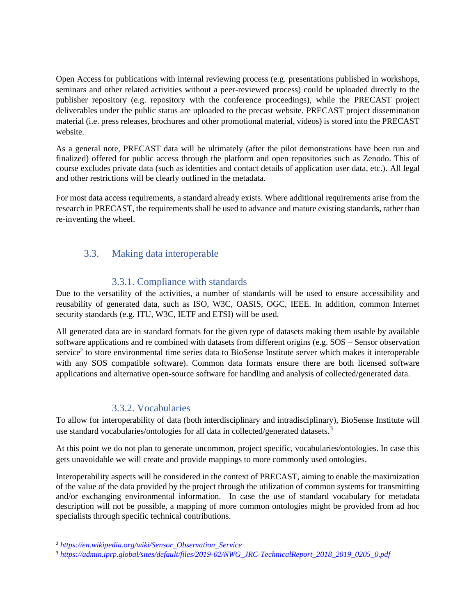Open Access for publications with internal reviewing process (e.g. presentations published in workshops, seminars and other related activities without a peer-reviewed process) could be uploaded directly to the publisher repository (e.g. repository with the conference proceedings), while the PRECAST project deliverables under the public status are uploaded to the precast website. PRECAST project dissemination material (i.e. press releases, brochures and other promotional material, videos) is stored into the PRECAST website.

As a general note, PRECAST data will be ultimately (after the pilot demonstrations have been run and finalized) offered for public access through the platform and open repositories such as Zenodo. This of course excludes private data (such as identities and contact details of application user data, etc.). All legal and other restrictions will be clearly outlined in the metadata.

For most data access requirements, a standard already exists. Where additional requirements arise from the research in PRECAST, the requirements shall be used to advance and mature existing standards, rather than re-inventing the wheel.

#### <span id="page-10-0"></span>3.3. Making data interoperable

#### 3.3.1. Compliance with standards

<span id="page-10-1"></span>Due to the versatility of the activities, a number of standards will be used to ensure accessibility and reusability of generated data, such as ISO, W3C, OASIS, OGC, IEEE. In addition, common Internet security standards (e.g. ITU, W3C, IETF and ETSI) will be used.

All generated data are in standard formats for the given type of datasets making them usable by available software applications and re combined with datasets from different origins (e.g. SOS – Sensor observation service<sup>2</sup> to store environmental time series data to BioSense Institute server which makes it interoperable with any SOS compatible software). Common data formats ensure there are both licensed software applications and alternative open-source software for handling and analysis of collected/generated data.

#### 3.3.2. Vocabularies

<span id="page-10-2"></span>To allow for interoperability of data (both interdisciplinary and intradisciplinary), BioSense Institute will use standard vocabularies/ontologies for all data in collected/generated datasets.<sup>3</sup>

At this point we do not plan to generate uncommon, project specific, vocabularies/ontologies. In case this gets unavoidable we will create and provide mappings to more commonly used ontologies.

Interoperability aspects will be considered in the context of PRECAST, aiming to enable the maximization of the value of the data provided by the project through the utilization of common systems for transmitting and/or exchanging environmental information. In case the use of standard vocabulary for metadata description will not be possible, a mapping of more common ontologies might be provided from ad hoc specialists through specific technical contributions.

<sup>2</sup> *https://en.wikipedia.org/wiki/Sensor\_Observation\_Service*

<sup>3</sup> *https://admin.iprp.global/sites/default/files/2019-02/NWG\_JRC-TechnicalReport\_2018\_2019\_0205\_0.pdf*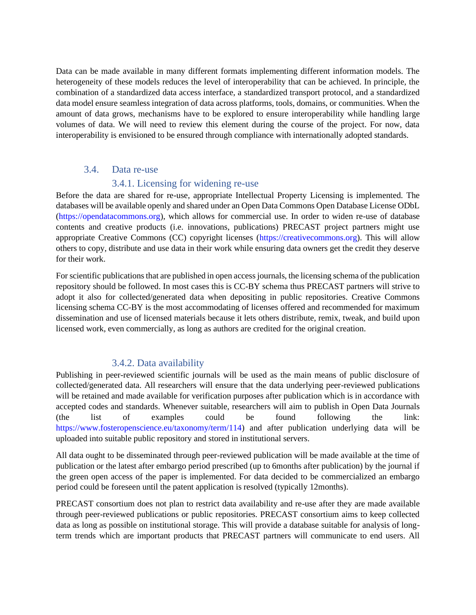Data can be made available in many different formats implementing different information models. The heterogeneity of these models reduces the level of interoperability that can be achieved. In principle, the combination of a standardized data access interface, a standardized transport protocol, and a standardized data model ensure seamless integration of data across platforms, tools, domains, or communities. When the amount of data grows, mechanisms have to be explored to ensure interoperability while handling large volumes of data. We will need to review this element during the course of the project. For now, data interoperability is envisioned to be ensured through compliance with internationally adopted standards.

#### 3.4. Data re-use

#### 3.4.1. Licensing for widening re-use

<span id="page-11-1"></span><span id="page-11-0"></span>Before the data are shared for re-use, appropriate Intellectual Property Licensing is implemented. The databases will be available openly and shared under an Open Data Commons Open Database License ODbL (https://opendatacommons.org), which allows for commercial use. In order to widen re-use of database contents and creative products (i.e. innovations, publications) PRECAST project partners might use appropriate Creative Commons (CC) copyright licenses (https://creativecommons.org). This will allow others to copy, distribute and use data in their work while ensuring data owners get the credit they deserve for their work.

For scientific publications that are published in open access journals, the licensing schema of the publication repository should be followed. In most cases this is CC-BY schema thus PRECAST partners will strive to adopt it also for collected/generated data when depositing in public repositories. Creative Commons licensing schema CC-BY is the most accommodating of licenses offered and recommended for maximum dissemination and use of licensed materials because it lets others distribute, remix, tweak, and build upon licensed work, even commercially, as long as authors are credited for the original creation.

#### 3.4.2. Data availability

<span id="page-11-2"></span>Publishing in peer-reviewed scientific journals will be used as the main means of public disclosure of collected/generated data. All researchers will ensure that the data underlying peer-reviewed publications will be retained and made available for verification purposes after publication which is in accordance with accepted codes and standards. Whenever suitable, researchers will aim to publish in Open Data Journals (the list of examples could be found following the link: https://www.fosteropenscience.eu/taxonomy/term/114) and after publication underlying data will be uploaded into suitable public repository and stored in institutional servers.

All data ought to be disseminated through peer-reviewed publication will be made available at the time of publication or the latest after embargo period prescribed (up to 6months after publication) by the journal if the green open access of the paper is implemented. For data decided to be commercialized an embargo period could be foreseen until the patent application is resolved (typically 12months).

PRECAST consortium does not plan to restrict data availability and re-use after they are made available through peer-reviewed publications or public repositories. PRECAST consortium aims to keep collected data as long as possible on institutional storage. This will provide a database suitable for analysis of longterm trends which are important products that PRECAST partners will communicate to end users. All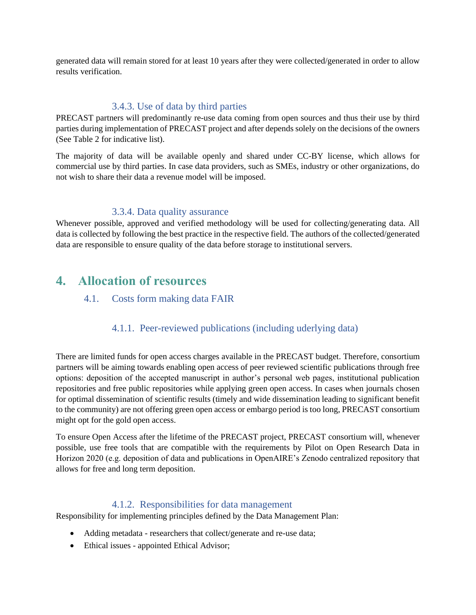generated data will remain stored for at least 10 years after they were collected/generated in order to allow results verification.

#### 3.4.3. Use of data by third parties

<span id="page-12-0"></span>PRECAST partners will predominantly re-use data coming from open sources and thus their use by third parties during implementation of PRECAST project and after depends solely on the decisions of the owners (See Table 2 for indicative list).

The majority of data will be available openly and shared under CC-BY license, which allows for commercial use by third parties. In case data providers, such as SMEs, industry or other organizations, do not wish to share their data a revenue model will be imposed.

#### 3.3.4. Data quality assurance

<span id="page-12-1"></span>Whenever possible, approved and verified methodology will be used for collecting/generating data. All data is collected by following the best practice in the respective field. The authors of the collected/generated data are responsible to ensure quality of the data before storage to institutional servers.

## <span id="page-12-3"></span><span id="page-12-2"></span>**4. Allocation of resources**

#### 4.1. Costs form making data FAIR

### 4.1.1. Peer-reviewed publications (including uderlying data)

<span id="page-12-4"></span>There are limited funds for open access charges available in the PRECAST budget. Therefore, consortium partners will be aiming towards enabling open access of peer reviewed scientific publications through free options: deposition of the accepted manuscript in author's personal web pages, institutional publication repositories and free public repositories while applying green open access. In cases when journals chosen for optimal dissemination of scientific results (timely and wide dissemination leading to significant benefit to the community) are not offering green open access or embargo period is too long, PRECAST consortium might opt for the gold open access.

To ensure Open Access after the lifetime of the PRECAST project, PRECAST consortium will, whenever possible, use free tools that are compatible with the requirements by Pilot on Open Research Data in Horizon 2020 (e.g. deposition of data and publications in OpenAIRE's Zenodo centralized repository that allows for free and long term deposition.

#### 4.1.2. Responsibilities for data management

<span id="page-12-5"></span>Responsibility for implementing principles defined by the Data Management Plan:

- Adding metadata researchers that collect/generate and re-use data;
- Ethical issues appointed Ethical Advisor;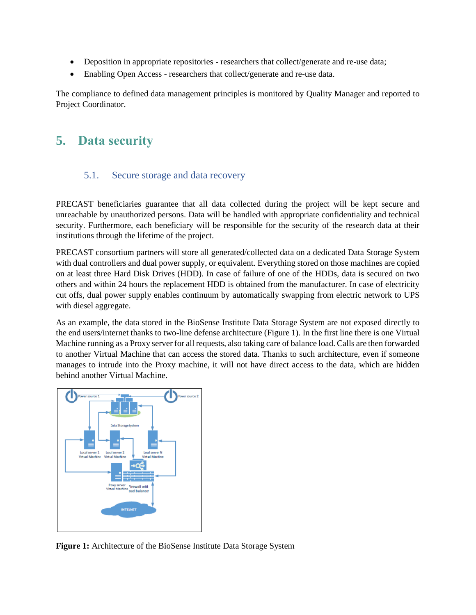- Deposition in appropriate repositories researchers that collect/generate and re-use data;
- Enabling Open Access researchers that collect/generate and re-use data.

The compliance to defined data management principles is monitored by Quality Manager and reported to Project Coordinator.

# <span id="page-13-0"></span>**5. Data security**

#### 5.1. Secure storage and data recovery

<span id="page-13-1"></span>PRECAST beneficiaries guarantee that all data collected during the project will be kept secure and unreachable by unauthorized persons. Data will be handled with appropriate confidentiality and technical security. Furthermore, each beneficiary will be responsible for the security of the research data at their institutions through the lifetime of the project.

PRECAST consortium partners will store all generated/collected data on a dedicated Data Storage System with dual controllers and dual power supply, or equivalent. Everything stored on those machines are copied on at least three Hard Disk Drives (HDD). In case of failure of one of the HDDs, data is secured on two others and within 24 hours the replacement HDD is obtained from the manufacturer. In case of electricity cut offs, dual power supply enables continuum by automatically swapping from electric network to UPS with diesel aggregate.

As an example, the data stored in the BioSense Institute Data Storage System are not exposed directly to the end users/internet thanks to two-line defense architecture (Figure 1). In the first line there is one Virtual Machine running as a Proxy server for all requests, also taking care of balance load. Calls are then forwarded to another Virtual Machine that can access the stored data. Thanks to such architecture, even if someone manages to intrude into the Proxy machine, it will not have direct access to the data, which are hidden behind another Virtual Machine.



**Figure 1:** Architecture of the BioSense Institute Data Storage System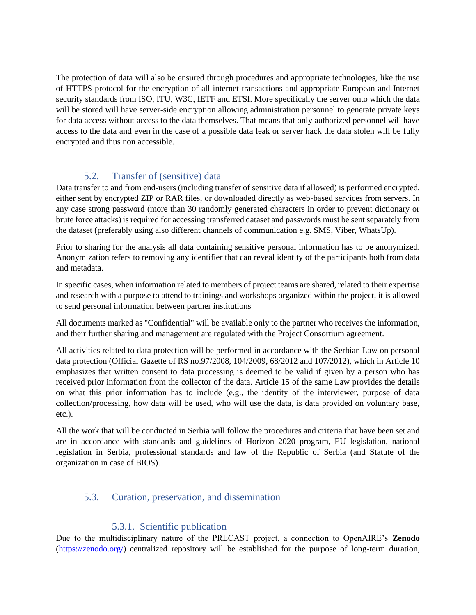The protection of data will also be ensured through procedures and appropriate technologies, like the use of HTTPS protocol for the encryption of all internet transactions and appropriate European and Internet security standards from ISO, ITU, W3C, IETF and ETSI. More specifically the server onto which the data will be stored will have server-side encryption allowing administration personnel to generate private keys for data access without access to the data themselves. That means that only authorized personnel will have access to the data and even in the case of a possible data leak or server hack the data stolen will be fully encrypted and thus non accessible.

## 5.2. Transfer of (sensitive) data

<span id="page-14-0"></span>Data transfer to and from end-users (including transfer of sensitive data if allowed) is performed encrypted, either sent by encrypted ZIP or RAR files, or downloaded directly as web-based services from servers. In any case strong password (more than 30 randomly generated characters in order to prevent dictionary or brute force attacks) is required for accessing transferred dataset and passwords must be sent separately from the dataset (preferably using also different channels of communication e.g. SMS, Viber, WhatsUp).

Prior to sharing for the analysis all data containing sensitive personal information has to be anonymized. Anonymization refers to removing any identifier that can reveal identity of the participants both from data and metadata.

In specific cases, when information related to members of project teams are shared, related to their expertise and research with a purpose to attend to trainings and workshops organized within the project, it is allowed to send personal information between partner institutions

All documents marked as "Confidential" will be available only to the partner who receives the information, and their further sharing and management are regulated with the Project Consortium agreement.

All activities related to data protection will be performed in accordance with the Serbian Law on personal data protection (Official Gazette of RS no.97/2008, 104/2009, 68/2012 and 107/2012), which in Article 10 emphasizes that written consent to data processing is deemed to be valid if given by a person who has received prior information from the collector of the data. Article 15 of the same Law provides the details on what this prior information has to include (e.g., the identity of the interviewer, purpose of data collection/processing, how data will be used, who will use the data, is data provided on voluntary base, etc.).

All the work that will be conducted in Serbia will follow the procedures and criteria that have been set and are in accordance with standards and guidelines of Horizon 2020 program, EU legislation, national legislation in Serbia, professional standards and law of the Republic of Serbia (and Statute of the organization in case of BIOS).

### <span id="page-14-1"></span>5.3. Curation, preservation, and dissemination

#### 5.3.1. Scientific publication

<span id="page-14-2"></span>Due to the multidisciplinary nature of the PRECAST project, a connection to OpenAIRE's **Zenodo**  (https://zenodo.org/) centralized repository will be established for the purpose of long-term duration,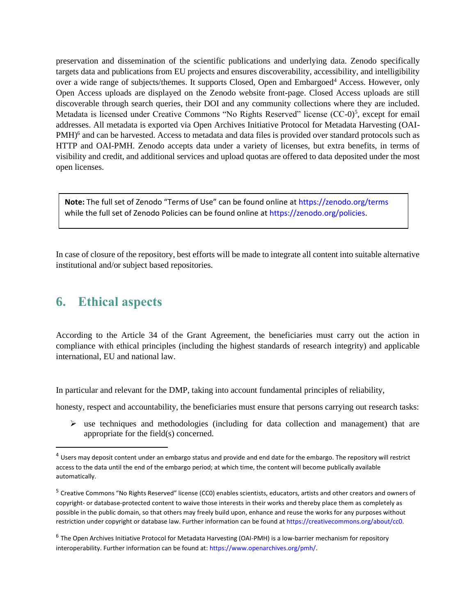preservation and dissemination of the scientific publications and underlying data. Zenodo specifically targets data and publications from EU projects and ensures discoverability, accessibility, and intelligibility over a wide range of subjects/themes. It supports Closed, Open and Embargoed<sup>4</sup> Access. However, only Open Access uploads are displayed on the Zenodo website front-page. Closed Access uploads are still discoverable through search queries, their DOI and any community collections where they are included. Metadata is licensed under Creative Commons "No Rights Reserved" license (CC-0)<sup>5</sup>, except for email addresses. All metadata is exported via Open Archives Initiative Protocol for Metadata Harvesting (OAI-PMH)<sup>6</sup> and can be harvested. Access to metadata and data files is provided over standard protocols such as HTTP and OAI-PMH. Zenodo accepts data under a variety of licenses, but extra benefits, in terms of visibility and credit, and additional services and upload quotas are offered to data deposited under the most open licenses.

**Note:** The full set of Zenodo "Terms of Use" can be found online at https://zenodo.org/terms while the full set of Zenodo Policies can be found online at https://zenodo.org/policies.

In case of closure of the repository, best efforts will be made to integrate all content into suitable alternative institutional and/or subject based repositories.

## <span id="page-15-0"></span>**6. Ethical aspects**

According to the Article 34 of the Grant Agreement, the beneficiaries must carry out the action in compliance with ethical principles (including the highest standards of research integrity) and applicable international, EU and national law.

In particular and relevant for the DMP, taking into account fundamental principles of reliability,

honesty, respect and accountability, the beneficiaries must ensure that persons carrying out research tasks:

 $\triangleright$  use techniques and methodologies (including for data collection and management) that are appropriate for the field(s) concerned.

 $4$  Users may deposit content under an embargo status and provide and end date for the embargo. The repository will restrict access to the data until the end of the embargo period; at which time, the content will become publically available automatically.

<sup>&</sup>lt;sup>5</sup> Creative Commons "No Rights Reserved" license (CC0) enables scientists, educators, artists and other creators and owners of copyright- or database-protected content to waive those interests in their works and thereby place them as completely as possible in the public domain, so that others may freely build upon, enhance and reuse the works for any purposes without restriction under copyright or database law. Further information can be found at https://creativecommons.org/about/cc0.

<sup>&</sup>lt;sup>6</sup> The Open Archives Initiative Protocol for Metadata Harvesting (OAI-PMH) is a low-barrier mechanism for repository interoperability. Further information can be found at: https://www.openarchives.org/pmh/.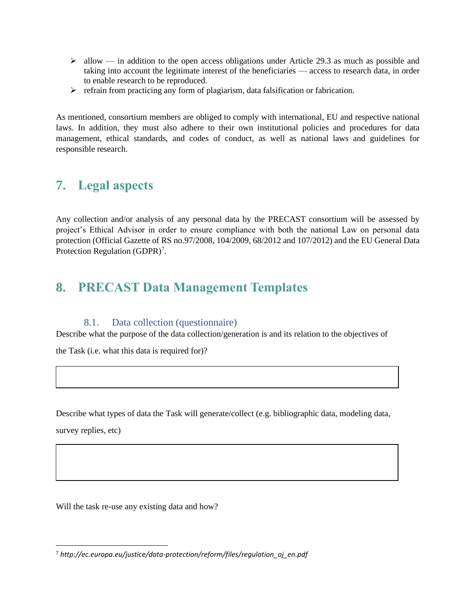- $\triangleright$  allow in addition to the open access obligations under Article 29.3 as much as possible and taking into account the legitimate interest of the beneficiaries — access to research data, in order to enable research to be reproduced.
- ➢ refrain from practicing any form of plagiarism, data falsification or fabrication.

As mentioned, consortium members are obliged to comply with international, EU and respective national laws. In addition, they must also adhere to their own institutional policies and procedures for data management, ethical standards, and codes of conduct, as well as national laws and guidelines for responsible research.

## <span id="page-16-0"></span>**7. Legal aspects**

Any collection and/or analysis of any personal data by the PRECAST consortium will be assessed by project's Ethical Advisor in order to ensure compliance with both the national Law on personal data protection (Official Gazette of RS no.97/2008, 104/2009, 68/2012 and 107/2012) and the EU General Data Protection Regulation (GDPR)<sup>7</sup>.

## <span id="page-16-1"></span>**8. PRECAST Data Management Templates**

#### 8.1. Data collection (questionnaire)

<span id="page-16-2"></span>Describe what the purpose of the data collection/generation is and its relation to the objectives of

the Task (i.e. what this data is required for)?

Describe what types of data the Task will generate/collect (e.g. bibliographic data, modeling data,

survey replies, etc)

Will the task re-use any existing data and how?

<sup>7</sup> *http://ec.europa.eu/justice/data-protection/reform/files/regulation\_oj\_en.pdf*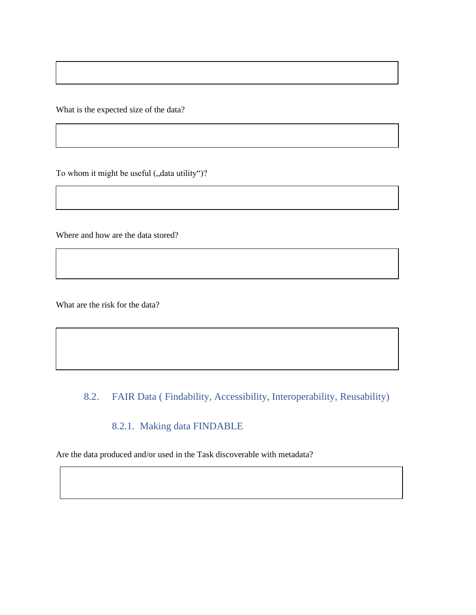What is the expected size of the data?

To whom it might be useful ("data utility")?

Where and how are the data stored?

What are the risk for the data?

## <span id="page-17-0"></span>8.2. FAIR Data ( Findability, Accessibility, Interoperability, Reusability)

## 8.2.1. Making data FINDABLE

<span id="page-17-1"></span>Are the data produced and/or used in the Task discoverable with metadata?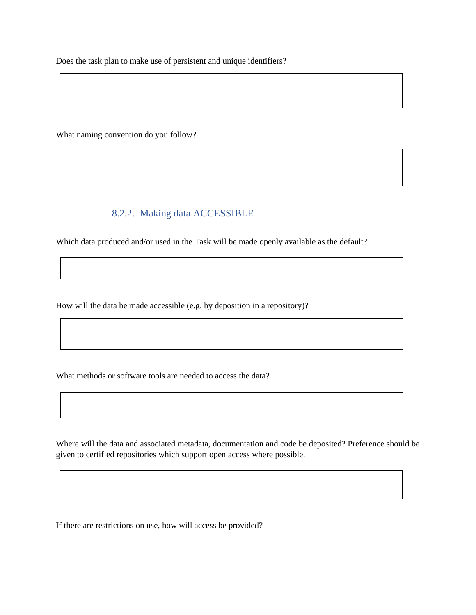Does the task plan to make use of persistent and unique identifiers?

What naming convention do you follow?

### 8.2.2. Making data ACCESSIBLE

<span id="page-18-0"></span>Which data produced and/or used in the Task will be made openly available as the default?

How will the data be made accessible (e.g. by deposition in a repository)?

What methods or software tools are needed to access the data?

Where will the data and associated metadata, documentation and code be deposited? Preference should be given to certified repositories which support open access where possible.

If there are restrictions on use, how will access be provided?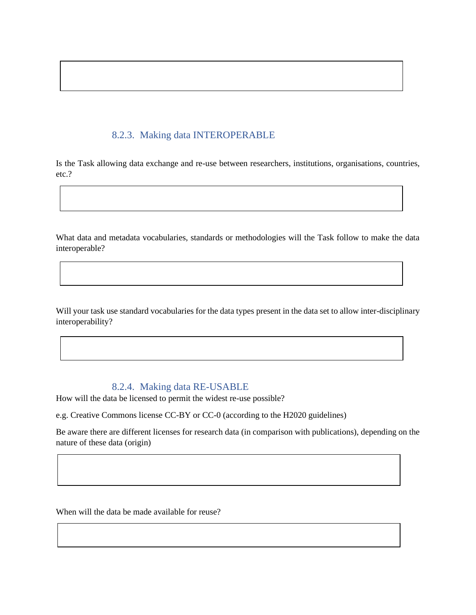## 8.2.3. Making data INTEROPERABLE

<span id="page-19-0"></span>Is the Task allowing data exchange and re-use between researchers, institutions, organisations, countries, etc.?

What data and metadata vocabularies, standards or methodologies will the Task follow to make the data interoperable?

Will your task use standard vocabularies for the data types present in the data set to allow inter-disciplinary interoperability?

#### 8.2.4. Making data RE-USABLE

<span id="page-19-1"></span>How will the data be licensed to permit the widest re-use possible?

e.g. Creative Commons license CC-BY or CC-0 (according to the H2020 guidelines)

Be aware there are different licenses for research data (in comparison with publications), depending on the nature of these data (origin)

When will the data be made available for reuse?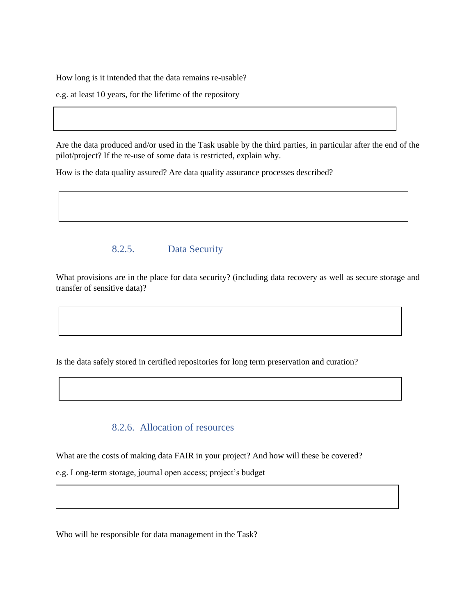How long is it intended that the data remains re-usable?

e.g. at least 10 years, for the lifetime of the repository

Are the data produced and/or used in the Task usable by the third parties, in particular after the end of the pilot/project? If the re-use of some data is restricted, explain why.

How is the data quality assured? Are data quality assurance processes described?

## <span id="page-20-0"></span>8.2.5. Data Security

What provisions are in the place for data security? (including data recovery as well as secure storage and transfer of sensitive data)?

Is the data safely stored in certified repositories for long term preservation and curation?

### 8.2.6. Allocation of resources

<span id="page-20-1"></span>What are the costs of making data FAIR in your project? And how will these be covered?

e.g. Long-term storage, journal open access; project's budget

Who will be responsible for data management in the Task?